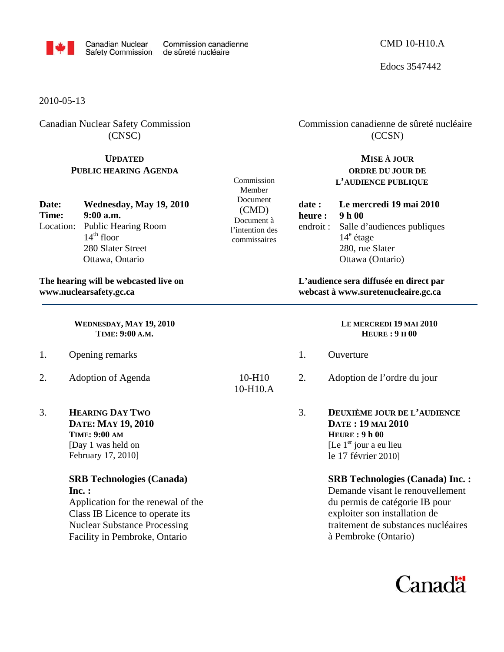

Edocs 3547442

2010-05-13

Canadian Nuclear Safety Commission (CNSC)

### **UPDATED PUBLIC HEARING AGENDA**

| Date: | Wednesday, May 19, 2010       |
|-------|-------------------------------|
| Time: | $9:00$ a.m.                   |
|       | Location: Public Hearing Room |
|       | $14th$ floor                  |
|       | 280 Slater Street             |
|       | Ottawa, Ontario               |

**The hearing will be webcasted live on www.nuclearsafety.gc.ca**

> **WEDNESDAY, MAY 19, 2010 TIME: 9:00 A.M.**

- 1. Opening remarks
- 2. Adoption of Agenda
- 3. **HEARING DAY TWO DATE: MAY 19, 2010 TIME: 9:00 AM** [Day 1 was held on February 17, 2010]

# **SRB Technologies (Canada) Inc. :**

Application for the renewal of the Class IB Licence to operate its Nuclear Substance Processing Facility in Pembroke, Ontario

Commission Member Document (CMD) Document à l'intention des commissaires

10-H10 10-H10.A

# Commission canadienne de sûreté nucléaire (CCSN)

# **MISE À JOUR ORDRE DU JOUR DE L'AUDIENCE PUBLIQUE**

**date : Le mercredi 19 mai 2010 heure : 9 h 00**  endroit : Salle d'audiences publiques 14<sup>e</sup> étage 280, rue Slater Ottawa (Ontario)

**L'audience sera diffusée en direct par webcast à www.suretenucleaire.gc.ca**

> **LE MERCREDI 19 MAI 2010 HEURE : 9 H 00**

- 1. Ouverture
- 2. Adoption de l'ordre du jour
- 3. **DEUXIÈME JOUR DE L'AUDIENCE DATE : 19 MAI 2010 HEURE : 9 h 00**  [Le  $1<sup>er</sup>$  jour a eu lieu le 17 février 2010]

### **SRB Technologies (Canada) Inc. :**

Demande visant le renouvellement du permis de catégorie IB pour exploiter son installation de traitement de substances nucléaires à Pembroke (Ontario)

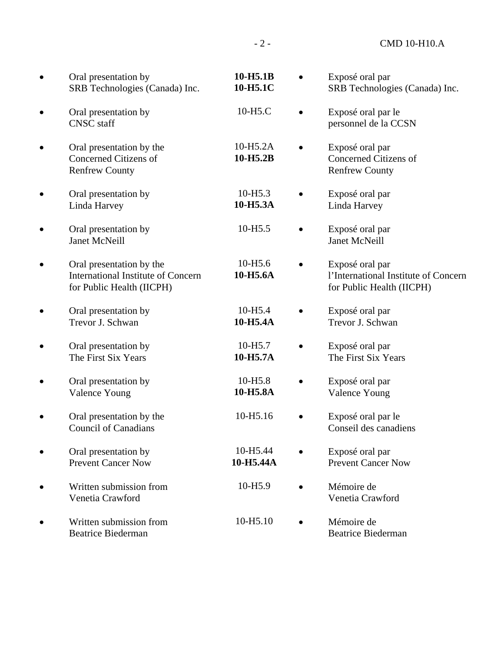- 2 - CMD 10-H10.A

• Oral presentation by SRB Technologies (Canada) Inc. **10-H5.1B 10-H5.1C**  • Exposé oral par SRB Technologies (Canada) Inc. • Oral presentation by CNSC staff 10-H5.C • Exposé oral par le personnel de la CCSN • Oral presentation by the Concerned Citizens of Renfrew County 10-H5.2A **10-H5.2B**  • Exposé oral par Concerned Citizens of Renfrew County • Oral presentation by Linda Harvey 10-H5.3 **10-H5.3A**  • Exposé oral par Linda Harvey • Oral presentation by Janet McNeill 10-H5.5 • Exposé oral par Janet McNeill • Oral presentation by the International Institute of Concern for Public Health (IICPH) 10-H5.6 **10-H5.6A**  • Exposé oral par l'International Institute of Concern for Public Health (IICPH) • Oral presentation by Trevor J. Schwan 10-H5.4 **10-H5.4A**  • Exposé oral par Trevor J. Schwan • Oral presentation by The First Six Years 10-H5.7 • **10-H5.7A**  Exposé oral par The First Six Years • Oral presentation by Valence Young 10-H5.8 **10-H5.8A**  • Exposé oral par Valence Young • Oral presentation by the Council of Canadians 10-H5.16 • Exposé oral par le Conseil des canadiens • Oral presentation by Prevent Cancer Now 10-H5.44 **10-H5.44A**  • Exposé oral par Prevent Cancer Now • Written submission from Venetia Crawford 10-H5.9 • Mémoire de Venetia Crawford • Written submission from Beatrice Biederman 10-H5.10 • Mémoire de Beatrice Biederman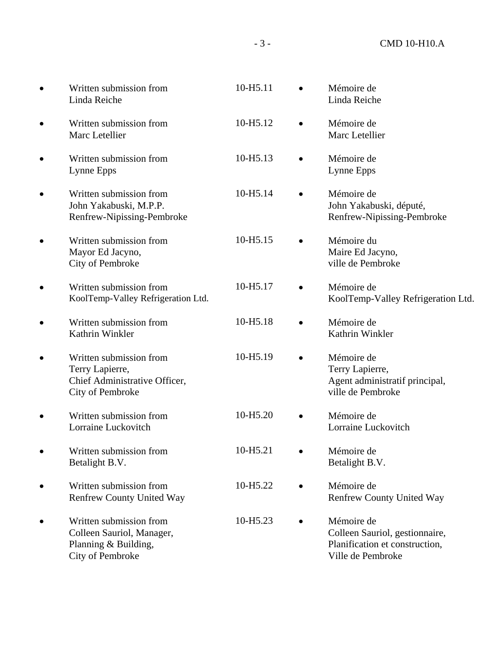| $\bullet$ | Written submission from<br>Linda Reiche                                                          | 10-H5.11             | Mémoire de<br>Linda Reiche                                                                          |
|-----------|--------------------------------------------------------------------------------------------------|----------------------|-----------------------------------------------------------------------------------------------------|
| ٠         | Written submission from<br>Marc Letellier                                                        | 10-H <sub>5.12</sub> | Mémoire de<br>Marc Letellier                                                                        |
|           | Written submission from<br>Lynne Epps                                                            | 10-H5.13             | Mémoire de<br>Lynne Epps                                                                            |
|           | Written submission from<br>John Yakabuski, M.P.P.<br>Renfrew-Nipissing-Pembroke                  | 10-H5.14             | Mémoire de<br>John Yakabuski, député,<br>Renfrew-Nipissing-Pembroke                                 |
|           | Written submission from<br>Mayor Ed Jacyno,<br>City of Pembroke                                  | 10-H <sub>5.15</sub> | Mémoire du<br>Maire Ed Jacyno,<br>ville de Pembroke                                                 |
|           | Written submission from<br>KoolTemp-Valley Refrigeration Ltd.                                    | 10-H5.17             | Mémoire de<br>KoolTemp-Valley Refrigeration Ltd.                                                    |
|           | Written submission from<br>Kathrin Winkler                                                       | 10-H5.18             | Mémoire de<br>Kathrin Winkler                                                                       |
| ٠         | Written submission from<br>Terry Lapierre,<br>Chief Administrative Officer,<br>City of Pembroke  | 10-H5.19             | Mémoire de<br>Terry Lapierre,<br>Agent administratif principal,<br>ville de Pembroke                |
|           | Written submission from<br>Lorraine Luckovitch                                                   | 10-H5.20             | Mémoire de<br>Lorraine Luckovitch                                                                   |
|           | Written submission from<br>Betalight B.V.                                                        | 10-H5.21             | Mémoire de<br>Betalight B.V.                                                                        |
| ٠         | Written submission from<br><b>Renfrew County United Way</b>                                      | 10-H5.22             | Mémoire de<br><b>Renfrew County United Way</b>                                                      |
|           | Written submission from<br>Colleen Sauriol, Manager,<br>Planning & Building,<br>City of Pembroke | 10-H5.23             | Mémoire de<br>Colleen Sauriol, gestionnaire,<br>Planification et construction,<br>Ville de Pembroke |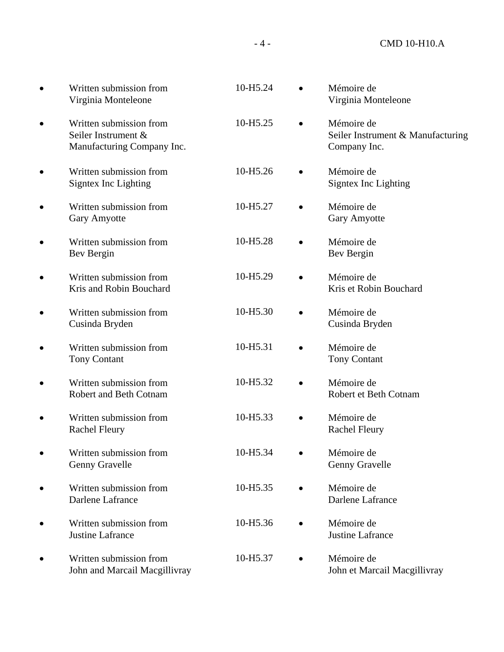- 4 - CMD 10-H10.A

|           | Written submission from<br>Virginia Monteleone                               | 10-H5.24 |           | Mémoire de<br>Virginia Monteleone                               |
|-----------|------------------------------------------------------------------------------|----------|-----------|-----------------------------------------------------------------|
| ٠         | Written submission from<br>Seiler Instrument &<br>Manufacturing Company Inc. | 10-H5.25 |           | Mémoire de<br>Seiler Instrument & Manufacturing<br>Company Inc. |
|           | Written submission from<br>Signtex Inc Lighting                              | 10-H5.26 |           | Mémoire de<br>Signtex Inc Lighting                              |
|           | Written submission from<br>Gary Amyotte                                      | 10-H5.27 |           | Mémoire de<br>Gary Amyotte                                      |
|           | Written submission from<br>Bev Bergin                                        | 10-H5.28 |           | Mémoire de<br>Bev Bergin                                        |
|           | Written submission from<br>Kris and Robin Bouchard                           | 10-H5.29 |           | Mémoire de<br>Kris et Robin Bouchard                            |
|           | Written submission from<br>Cusinda Bryden                                    | 10-H5.30 |           | Mémoire de<br>Cusinda Bryden                                    |
|           | Written submission from<br><b>Tony Contant</b>                               | 10-H5.31 |           | Mémoire de<br><b>Tony Contant</b>                               |
|           | Written submission from<br>Robert and Beth Cotnam                            | 10-H5.32 |           | Mémoire de<br>Robert et Beth Cotnam                             |
|           | Written submission from<br><b>Rachel Fleury</b>                              | 10-H5.33 |           | Mémoire de<br><b>Rachel Fleury</b>                              |
| $\bullet$ | Written submission from<br>Genny Gravelle                                    | 10-H5.34 | $\bullet$ | Mémoire de<br>Genny Gravelle                                    |
|           | Written submission from<br>Darlene Lafrance                                  | 10-H5.35 | $\bullet$ | Mémoire de<br>Darlene Lafrance                                  |
|           | Written submission from<br>Justine Lafrance                                  | 10-H5.36 | $\bullet$ | Mémoire de<br>Justine Lafrance                                  |
|           | Written submission from<br>John and Marcail Macgillivray                     | 10-H5.37 |           | Mémoire de<br>John et Marcail Macgillivray                      |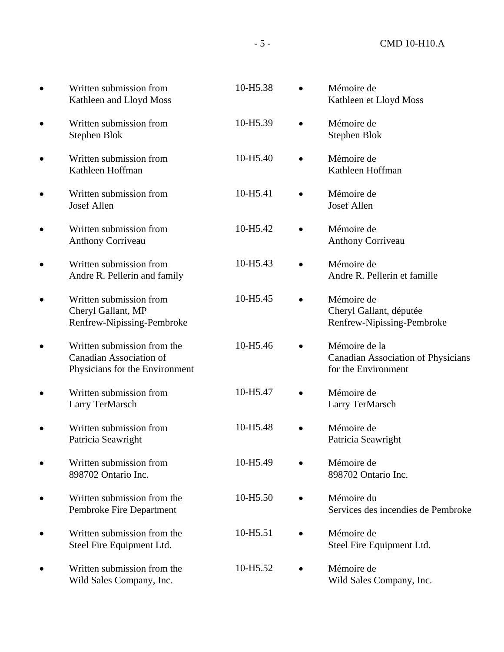| Written submission from<br>Kathleen and Lloyd Moss                                              | 10-H5.38 | Mémoire de<br>Kathleen et Lloyd Moss                                              |
|-------------------------------------------------------------------------------------------------|----------|-----------------------------------------------------------------------------------|
| Written submission from<br><b>Stephen Blok</b>                                                  | 10-H5.39 | Mémoire de<br>Stephen Blok                                                        |
| Written submission from<br>Kathleen Hoffman                                                     | 10-H5.40 | Mémoire de<br>Kathleen Hoffman                                                    |
| Written submission from<br>Josef Allen                                                          | 10-H5.41 | Mémoire de<br>Josef Allen                                                         |
| Written submission from<br>Anthony Corriveau                                                    | 10-H5.42 | Mémoire de<br><b>Anthony Corriveau</b>                                            |
| Written submission from<br>Andre R. Pellerin and family                                         | 10-H5.43 | Mémoire de<br>Andre R. Pellerin et famille                                        |
| Written submission from<br>Cheryl Gallant, MP<br>Renfrew-Nipissing-Pembroke                     | 10-H5.45 | Mémoire de<br>Cheryl Gallant, députée<br>Renfrew-Nipissing-Pembroke               |
| Written submission from the<br><b>Canadian Association of</b><br>Physicians for the Environment | 10-H5.46 | Mémoire de la<br><b>Canadian Association of Physicians</b><br>for the Environment |
| Written submission from<br>Larry TerMarsch                                                      | 10-H5.47 | Mémoire de<br>Larry TerMarsch                                                     |
| Written submission from<br>Patricia Seawright                                                   | 10-H5.48 | Mémoire de<br>Patricia Seawright                                                  |
| Written submission from<br>898702 Ontario Inc.                                                  | 10-H5.49 | Mémoire de<br>898702 Ontario Inc.                                                 |
| Written submission from the<br>Pembroke Fire Department                                         | 10-H5.50 | Mémoire du<br>Services des incendies de Pembroke                                  |
| Written submission from the<br>Steel Fire Equipment Ltd.                                        | 10-H5.51 | Mémoire de<br>Steel Fire Equipment Ltd.                                           |
| Written submission from the<br>Wild Sales Company, Inc.                                         | 10-H5.52 | Mémoire de<br>Wild Sales Company, Inc.                                            |